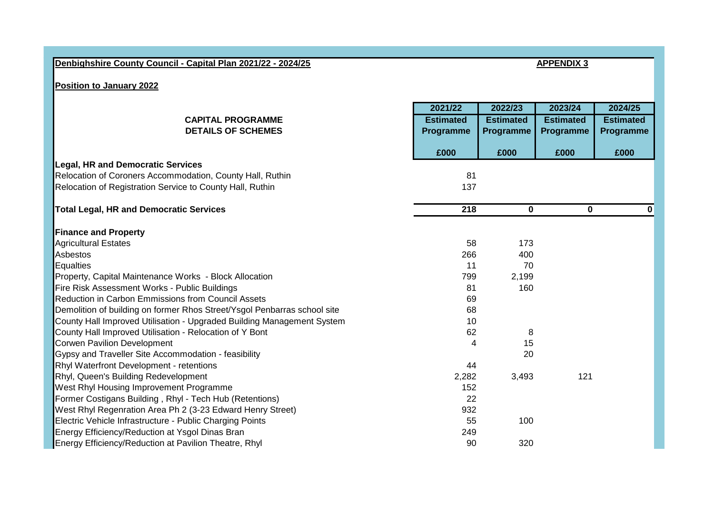| Denbighshire County Council - Capital Plan 2021/22 - 2024/25             |                  |                         | <b>APPENDIX 3</b>       |                  |  |
|--------------------------------------------------------------------------|------------------|-------------------------|-------------------------|------------------|--|
|                                                                          |                  |                         |                         |                  |  |
| <b>Position to January 2022</b>                                          |                  |                         |                         |                  |  |
|                                                                          |                  |                         |                         |                  |  |
|                                                                          | 2021/22          | 2022/23                 | 2023/24                 | 2024/25          |  |
| <b>CAPITAL PROGRAMME</b>                                                 | <b>Estimated</b> | <b>Estimated</b>        | <b>Estimated</b>        | <b>Estimated</b> |  |
| <b>DETAILS OF SCHEMES</b>                                                | Programme        | Programme               | Programme               | Programme        |  |
|                                                                          | £000             | £000                    | £000                    | £000             |  |
| <b>Legal, HR and Democratic Services</b>                                 |                  |                         |                         |                  |  |
| Relocation of Coroners Accommodation, County Hall, Ruthin                | 81               |                         |                         |                  |  |
| Relocation of Registration Service to County Hall, Ruthin                | 137              |                         |                         |                  |  |
| <b>Total Legal, HR and Democratic Services</b>                           | 218              | $\overline{\mathbf{0}}$ | $\overline{\mathbf{0}}$ | $\mathbf{0}$     |  |
|                                                                          |                  |                         |                         |                  |  |
| <b>Finance and Property</b>                                              |                  |                         |                         |                  |  |
| <b>Agricultural Estates</b>                                              | 58               | 173                     |                         |                  |  |
| Asbestos                                                                 | 266              | 400                     |                         |                  |  |
| <b>Equalties</b>                                                         | 11               | 70                      |                         |                  |  |
| Property, Capital Maintenance Works - Block Allocation                   | 799              | 2,199                   |                         |                  |  |
| Fire Risk Assessment Works - Public Buildings                            | 81               | 160                     |                         |                  |  |
| Reduction in Carbon Emmissions from Council Assets                       | 69               |                         |                         |                  |  |
| Demolition of building on former Rhos Street/Ysgol Penbarras school site | 68               |                         |                         |                  |  |
| County Hall Improved Utilisation - Upgraded Building Management System   | 10               |                         |                         |                  |  |
| County Hall Improved Utilisation - Relocation of Y Bont                  | 62               | 8                       |                         |                  |  |
| <b>Corwen Pavilion Development</b>                                       | 4                | 15                      |                         |                  |  |
| Gypsy and Traveller Site Accommodation - feasibility                     |                  | 20                      |                         |                  |  |
| Rhyl Waterfront Development - retentions                                 | 44               |                         |                         |                  |  |
| Rhyl, Queen's Building Redevelopment                                     | 2,282            | 3,493                   | 121                     |                  |  |
| West Rhyl Housing Improvement Programme                                  | 152              |                         |                         |                  |  |
| Former Costigans Building, Rhyl - Tech Hub (Retentions)                  | 22               |                         |                         |                  |  |
| West Rhyl Regenration Area Ph 2 (3-23 Edward Henry Street)               | 932              |                         |                         |                  |  |
| Electric Vehicle Infrastructure - Public Charging Points                 | 55               | 100                     |                         |                  |  |
| Energy Efficiency/Reduction at Ysgol Dinas Bran                          | 249              |                         |                         |                  |  |
| Energy Efficiency/Reduction at Pavilion Theatre, Rhyl                    | 90               | 320                     |                         |                  |  |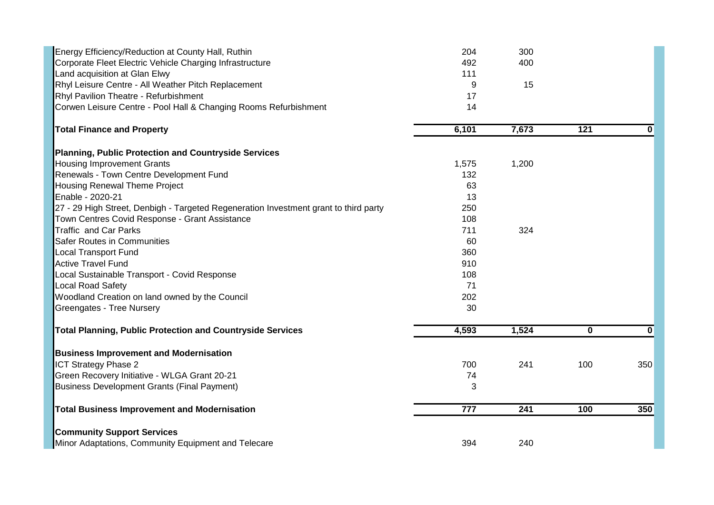| Energy Efficiency/Reduction at County Hall, Ruthin<br>Corporate Fleet Electric Vehicle Charging Infrastructure<br>Land acquisition at Glan Elwy<br>Rhyl Leisure Centre - All Weather Pitch Replacement<br>Rhyl Pavilion Theatre - Refurbishment<br>Corwen Leisure Centre - Pool Hall & Changing Rooms Refurbishment | 204<br>492<br>111<br>9<br>17<br>14 | 300<br>400<br>15 |             |             |
|---------------------------------------------------------------------------------------------------------------------------------------------------------------------------------------------------------------------------------------------------------------------------------------------------------------------|------------------------------------|------------------|-------------|-------------|
| <b>Total Finance and Property</b>                                                                                                                                                                                                                                                                                   | 6,101                              | 7,673            | 121         | 0           |
| Planning, Public Protection and Countryside Services                                                                                                                                                                                                                                                                |                                    |                  |             |             |
| <b>Housing Improvement Grants</b>                                                                                                                                                                                                                                                                                   | 1,575                              | 1,200            |             |             |
| Renewals - Town Centre Development Fund                                                                                                                                                                                                                                                                             | 132                                |                  |             |             |
| Housing Renewal Theme Project                                                                                                                                                                                                                                                                                       | 63                                 |                  |             |             |
| Enable - 2020-21                                                                                                                                                                                                                                                                                                    | 13                                 |                  |             |             |
| 27 - 29 High Street, Denbigh - Targeted Regeneration Investment grant to third party                                                                                                                                                                                                                                | 250                                |                  |             |             |
| Town Centres Covid Response - Grant Assistance                                                                                                                                                                                                                                                                      | 108                                |                  |             |             |
| <b>Traffic and Car Parks</b>                                                                                                                                                                                                                                                                                        | 711                                | 324              |             |             |
| <b>Safer Routes in Communities</b>                                                                                                                                                                                                                                                                                  | 60                                 |                  |             |             |
| <b>Local Transport Fund</b>                                                                                                                                                                                                                                                                                         | 360                                |                  |             |             |
| <b>Active Travel Fund</b>                                                                                                                                                                                                                                                                                           | 910                                |                  |             |             |
| Local Sustainable Transport - Covid Response                                                                                                                                                                                                                                                                        | 108                                |                  |             |             |
| <b>Local Road Safety</b>                                                                                                                                                                                                                                                                                            | 71                                 |                  |             |             |
| Woodland Creation on land owned by the Council                                                                                                                                                                                                                                                                      | 202                                |                  |             |             |
| Greengates - Tree Nursery                                                                                                                                                                                                                                                                                           | 30                                 |                  |             |             |
| <b>Total Planning, Public Protection and Countryside Services</b>                                                                                                                                                                                                                                                   | 4,593                              | 1,524            | $\mathbf 0$ | $\mathbf 0$ |
| <b>Business Improvement and Modernisation</b>                                                                                                                                                                                                                                                                       |                                    |                  |             |             |
| <b>ICT Strategy Phase 2</b>                                                                                                                                                                                                                                                                                         | 700                                | 241              | 100         | 350         |
| Green Recovery Initiative - WLGA Grant 20-21                                                                                                                                                                                                                                                                        | 74                                 |                  |             |             |
| <b>Business Development Grants (Final Payment)</b>                                                                                                                                                                                                                                                                  | 3                                  |                  |             |             |
| <b>Total Business Improvement and Modernisation</b>                                                                                                                                                                                                                                                                 | $\overline{777}$                   | 241              | 100         | 350         |
| <b>Community Support Services</b>                                                                                                                                                                                                                                                                                   |                                    |                  |             |             |
| Minor Adaptations, Community Equipment and Telecare                                                                                                                                                                                                                                                                 | 394                                | 240              |             |             |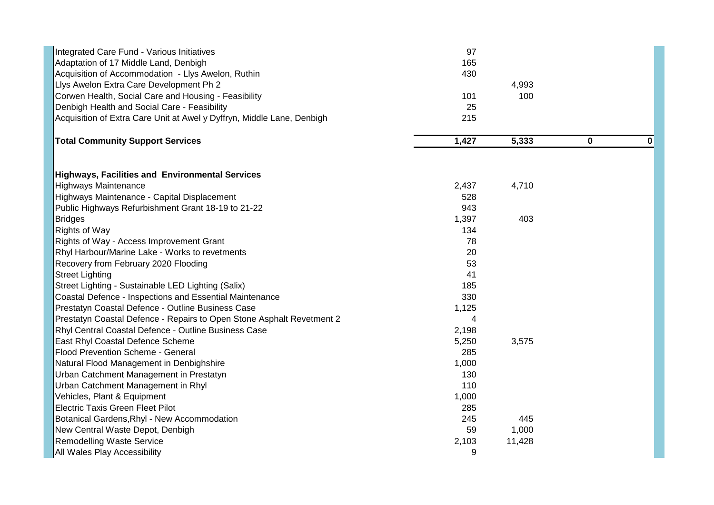| Integrated Care Fund - Various Initiatives                             | 97    |        |   |              |
|------------------------------------------------------------------------|-------|--------|---|--------------|
| Adaptation of 17 Middle Land, Denbigh                                  | 165   |        |   |              |
| Acquisition of Accommodation - Llys Awelon, Ruthin                     | 430   |        |   |              |
| Llys Awelon Extra Care Development Ph 2                                |       | 4,993  |   |              |
| Corwen Health, Social Care and Housing - Feasibility                   | 101   | 100    |   |              |
| Denbigh Health and Social Care - Feasibility                           | 25    |        |   |              |
| Acquisition of Extra Care Unit at Awel y Dyffryn, Middle Lane, Denbigh | 215   |        |   |              |
| <b>Total Community Support Services</b>                                | 1,427 | 5,333  | 0 | $\mathbf{0}$ |
| Highways, Facilities and Environmental Services                        |       |        |   |              |
| <b>Highways Maintenance</b>                                            | 2,437 | 4,710  |   |              |
| Highways Maintenance - Capital Displacement                            | 528   |        |   |              |
| Public Highways Refurbishment Grant 18-19 to 21-22                     | 943   |        |   |              |
| <b>Bridges</b>                                                         | 1,397 | 403    |   |              |
| <b>Rights of Way</b>                                                   | 134   |        |   |              |
| Rights of Way - Access Improvement Grant                               | 78    |        |   |              |
| Rhyl Harbour/Marine Lake - Works to revetments                         | 20    |        |   |              |
| Recovery from February 2020 Flooding                                   | 53    |        |   |              |
| <b>Street Lighting</b>                                                 | 41    |        |   |              |
| Street Lighting - Sustainable LED Lighting (Salix)                     | 185   |        |   |              |
| Coastal Defence - Inspections and Essential Maintenance                | 330   |        |   |              |
| Prestatyn Coastal Defence - Outline Business Case                      | 1,125 |        |   |              |
| Prestatyn Coastal Defence - Repairs to Open Stone Asphalt Revetment 2  | 4     |        |   |              |
| Rhyl Central Coastal Defence - Outline Business Case                   | 2,198 |        |   |              |
| East Rhyl Coastal Defence Scheme                                       | 5,250 | 3,575  |   |              |
| <b>Flood Prevention Scheme - General</b>                               | 285   |        |   |              |
| Natural Flood Management in Denbighshire                               | 1,000 |        |   |              |
| Urban Catchment Management in Prestatyn                                | 130   |        |   |              |
| Urban Catchment Management in Rhyl                                     | 110   |        |   |              |
| Vehicles, Plant & Equipment                                            | 1,000 |        |   |              |
| <b>Electric Taxis Green Fleet Pilot</b>                                | 285   |        |   |              |
| Botanical Gardens, Rhyl - New Accommodation                            | 245   | 445    |   |              |
| New Central Waste Depot, Denbigh                                       | 59    | 1,000  |   |              |
| <b>Remodelling Waste Service</b>                                       | 2,103 | 11,428 |   |              |
| All Wales Play Accessibility                                           | 9     |        |   |              |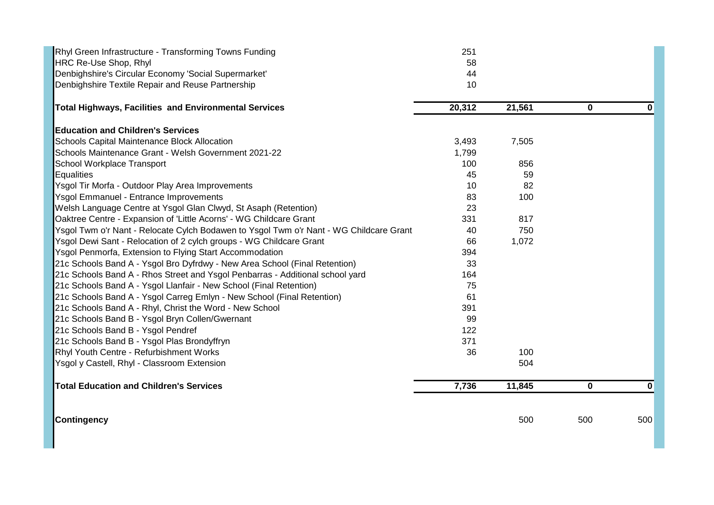| Rhyl Green Infrastructure - Transforming Towns Funding                                 | 251    |        |             |     |
|----------------------------------------------------------------------------------------|--------|--------|-------------|-----|
| HRC Re-Use Shop, Rhyl                                                                  | 58     |        |             |     |
| Denbighshire's Circular Economy 'Social Supermarket'                                   | 44     |        |             |     |
| Denbighshire Textile Repair and Reuse Partnership                                      | 10     |        |             |     |
| Total Highways, Facilities and Environmental Services                                  | 20,312 | 21,561 | $\mathbf 0$ | 0   |
| <b>Education and Children's Services</b>                                               |        |        |             |     |
| <b>Schools Capital Maintenance Block Allocation</b>                                    | 3,493  | 7,505  |             |     |
| Schools Maintenance Grant - Welsh Government 2021-22                                   | 1,799  |        |             |     |
| School Workplace Transport                                                             | 100    | 856    |             |     |
| Equalities                                                                             | 45     | 59     |             |     |
| Ysgol Tir Morfa - Outdoor Play Area Improvements                                       | 10     | 82     |             |     |
| <b>Ysgol Emmanuel - Entrance Improvements</b>                                          | 83     | 100    |             |     |
| Welsh Language Centre at Ysgol Glan Clwyd, St Asaph (Retention)                        | 23     |        |             |     |
| Oaktree Centre - Expansion of 'Little Acorns' - WG Childcare Grant                     | 331    | 817    |             |     |
| Ysgol Twm o'r Nant - Relocate Cylch Bodawen to Ysgol Twm o'r Nant - WG Childcare Grant | 40     | 750    |             |     |
| Ysgol Dewi Sant - Relocation of 2 cylch groups - WG Childcare Grant                    | 66     | 1,072  |             |     |
| Ysgol Penmorfa, Extension to Flying Start Accommodation                                | 394    |        |             |     |
| 21c Schools Band A - Ysgol Bro Dyfrdwy - New Area School (Final Retention)             | 33     |        |             |     |
| 21c Schools Band A - Rhos Street and Ysgol Penbarras - Additional school yard          | 164    |        |             |     |
| 21c Schools Band A - Ysgol Llanfair - New School (Final Retention)                     | 75     |        |             |     |
| 21c Schools Band A - Ysgol Carreg Emlyn - New School (Final Retention)                 | 61     |        |             |     |
| 21c Schools Band A - Rhyl, Christ the Word - New School                                | 391    |        |             |     |
| 21c Schools Band B - Ysgol Bryn Collen/Gwernant                                        | 99     |        |             |     |
| 21c Schools Band B - Ysgol Pendref                                                     | 122    |        |             |     |
| 21c Schools Band B - Ysgol Plas Brondyffryn                                            | 371    |        |             |     |
| Rhyl Youth Centre - Refurbishment Works                                                | 36     | 100    |             |     |
| Ysgol y Castell, Rhyl - Classroom Extension                                            |        | 504    |             |     |
| Total Education and Children's Services                                                | 7,736  | 11,845 | $\mathbf 0$ | 0   |
| <b>Contingency</b>                                                                     |        | 500    | 500         | 500 |